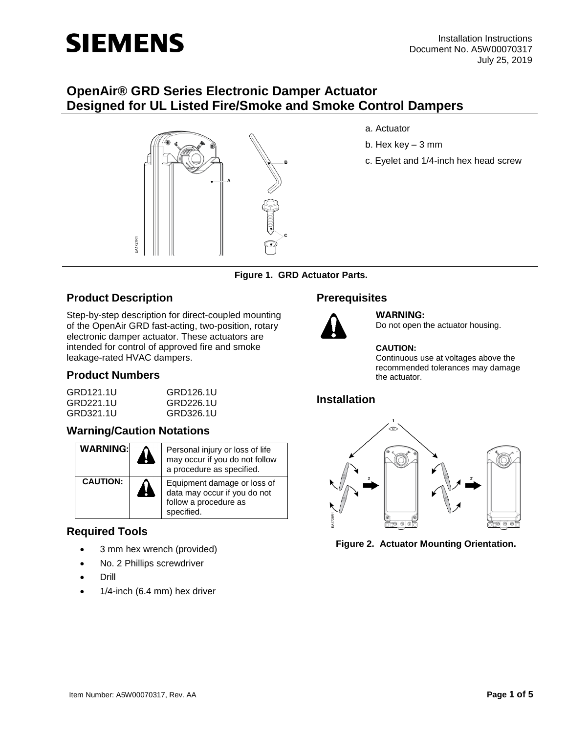

# **OpenAir® GRD Series Electronic Damper Actuator Designed for UL Listed Fire/Smoke and Smoke Control Dampers**



- a. Actuator
- b. Hex key 3 mm
- c. Eyelet and 1/4-inch hex head screw

**Figure 1. GRD Actuator Parts.**

## **Product Description**

Step-by-step description for direct-coupled mounting of the OpenAir GRD fast-acting, two-position, rotary electronic damper actuator. These actuators are intended for control of approved fire and smoke leakage-rated HVAC dampers.

### **Product Numbers**

| GRD121.1U | GRD126.1U |  |
|-----------|-----------|--|
| GRD221.1U | GRD226.1U |  |
| GRD321.1U | GRD326.1U |  |

### **Warning/Caution Notations**

| <b>WARNING:</b> | $\ddot{\phantom{a}}$ | Personal injury or loss of life<br>may occur if you do not follow<br>a procedure as specified.     |
|-----------------|----------------------|----------------------------------------------------------------------------------------------------|
| <b>CAUTION:</b> | 41                   | Equipment damage or loss of<br>data may occur if you do not<br>follow a procedure as<br>specified. |

### **Required Tools**

- 3 mm hex wrench (provided)
- No. 2 Phillips screwdriver
- Drill
- 1/4-inch (6.4 mm) hex driver

# **Prerequisites**



**WARNING:**

Do not open the actuator housing.

#### **CAUTION:**

Continuous use at voltages above the recommended tolerances may damage the actuator.

# **Installation**



**Figure 2. Actuator Mounting Orientation.**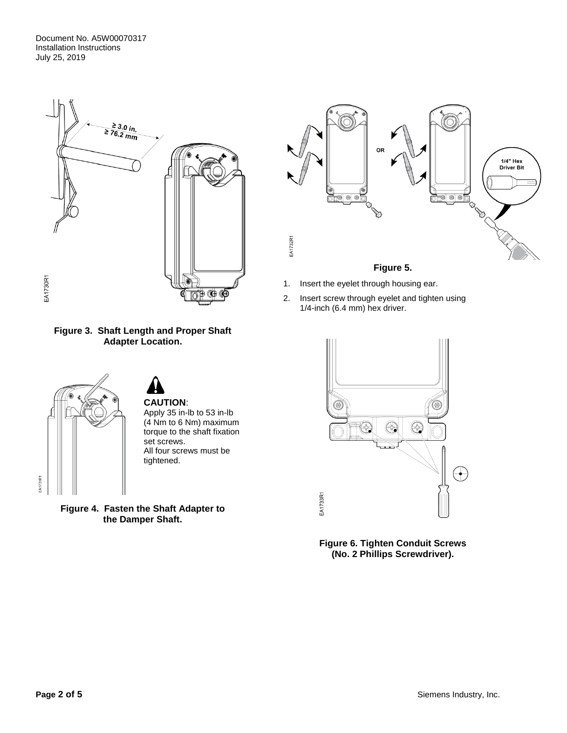Document No. A5W00070317 Installation Instructions July 25, 2019



**Figure 3. Shaft Length and Proper Shaft Adapter Location.**



**Figure 4. Fasten the Shaft Adapter to the Damper Shaft.**



- 1. Insert the eyelet through housing ear.
- 2. Insert screw through eyelet and tighten using 1/4-inch (6.4 mm) hex driver.



**Figure 6. Tighten Conduit Screws (No. 2 Phillips Screwdriver).**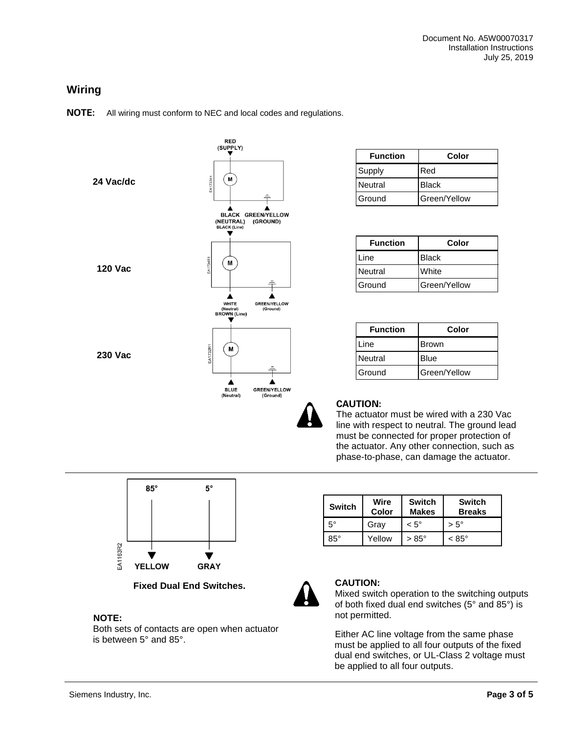# **Wiring**

**NOTE:** All wiring must conform to NEC and local codes and regulations.



| <b>Function</b> | Color        |
|-----------------|--------------|
| Supply          | Red          |
| Neutral         | <b>Black</b> |
| Ground          | Green/Yellow |

| <b>Function</b> | Color        |
|-----------------|--------------|
| Line            | <b>Black</b> |
| Neutral         | White        |
| Ground          | Green/Yellow |

| <b>Function</b> | Color        |
|-----------------|--------------|
| Line            | Brown        |
| <b>Neutral</b>  | <b>Blue</b>  |
| Ground          | Green/Yellow |



#### **CAUTION:**

The actuator must be wired with a 230 Vac line with respect to neutral. The ground lead must be connected for proper protection of the actuator. Any other connection, such as phase-to-phase, can damage the actuator.



**Fixed Dual End Switches.**

### **NOTE:**

Both sets of contacts are open when actuator is between 5° and 85°.

| Switch    | Wire<br>Color | <b>Switch</b><br><b>Makes</b> | <b>Switch</b><br><b>Breaks</b> |
|-----------|---------------|-------------------------------|--------------------------------|
| $5^\circ$ | Gray          | $< 5^{\circ}$                 | $> 5^{\circ}$                  |
| 85°       | Yellow        | $>85^{\circ}$                 | $< 85^{\circ}$                 |



### **CAUTION:**

Mixed switch operation to the switching outputs of both fixed dual end switches (5° and 85°) is not permitted.

Either AC line voltage from the same phase must be applied to all four outputs of the fixed dual end switches, or UL-Class 2 voltage must be applied to all four outputs.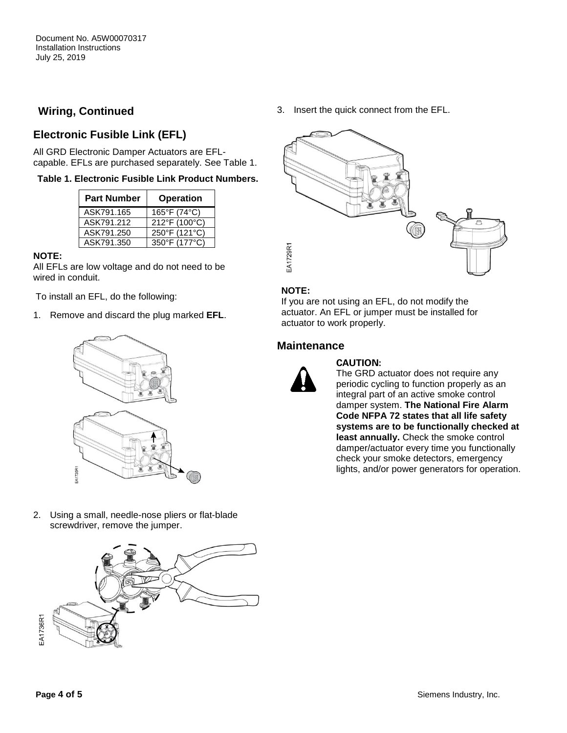# **Wiring, Continued**

# **Electronic Fusible Link (EFL)**

All GRD Electronic Damper Actuators are EFLcapable. EFLs are purchased separately. See Table 1.

#### **Table 1. Electronic Fusible Link Product Numbers.**

| <b>Part Number</b> | <b>Operation</b> |
|--------------------|------------------|
| ASK791.165         | 165°F (74°C)     |
| ASK791.212         | 212°F (100°C)    |
| ASK791.250         | 250°F (121°C)    |
| ASK791.350         | 350°F (177°C)    |

#### **NOTE:**

All EFLs are low voltage and do not need to be wired in conduit.

To install an EFL, do the following:

1. Remove and discard the plug marked **EFL**.



2. Using a small, needle-nose pliers or flat-blade screwdriver, remove the jumper.



3. Insert the quick connect from the EFL.



#### **NOTE:**

If you are not using an EFL, do not modify the actuator. An EFL or jumper must be installed for actuator to work properly.

#### **Maintenance**



#### **CAUTION:**

The GRD actuator does not require any periodic cycling to function properly as an integral part of an active smoke control damper system. **The National Fire Alarm Code NFPA 72 states that all life safety systems are to be functionally checked at least annually.** Check the smoke control damper/actuator every time you functionally check your smoke detectors, emergency lights, and/or power generators for operation.